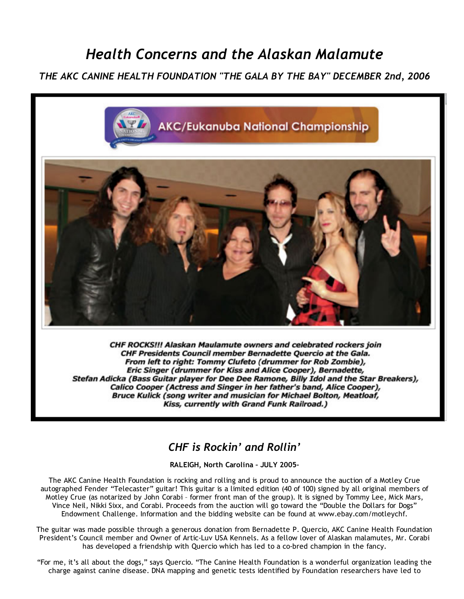## *Health Concerns and the Alaskan Malamute*

## *THE AKC CANINE HEALTH FOUNDATION "THE GALA BY THE BAY" DECEMBER 2nd, 2006*



CHF ROCKS !!! Alaskan Maulamute owners and celebrated rockers join CHF Presidents Council member Bernadette Quercio at the Gala. From left to right: Tommy Clufeto (drummer for Rob Zombie), Eric Singer (drummer for Kiss and Alice Cooper), Bernadette, Stefan Adicka (Bass Guitar player for Dee Dee Ramone, Billy Idol and the Star Breakers), Calico Cooper (Actress and Singer in her father's band, Alice Cooper), Bruce Kulick (song writer and musician for Michael Bolton, Meatloaf, Kiss, currently with Grand Funk Railroad.)

## *CHF is Rockin' and Rollin'*

RALEIGH, North Carolina – JULY 2005–

The AKC Canine Health Foundation is rocking and rolling and is proud to announce the auction of a Motley Crue autographed Fender "Telecaster" guitar! This guitar is a limited edition (40 of 100) signed by all original members of Motley Crue (as notarized by John Corabi – former front man of the group). It is signed by Tommy Lee, Mick Mars, Vince Neil, Nikki Sixx, and Corabi. Proceeds from the auction will go toward the "Double the Dollars for Dogs" Endowment Challenge. Information and the bidding website can be found at www.ebay.com/motleychf.

The guitar was made possible through a generous donation from Bernadette P. Quercio, AKC Canine Health Foundation President's Council member and Owner of Artic‐Luv USA Kennels. As a fellow lover of Alaskan malamutes, Mr. Corabi has developed a friendship with Quercio which has led to a co-bred champion in the fancy.

"For me, it's all about the dogs," says Quercio. "The Canine Health Foundation is a wonderful organization leading the charge against canine disease. DNA mapping and genetic tests identified by Foundation researchers have led to